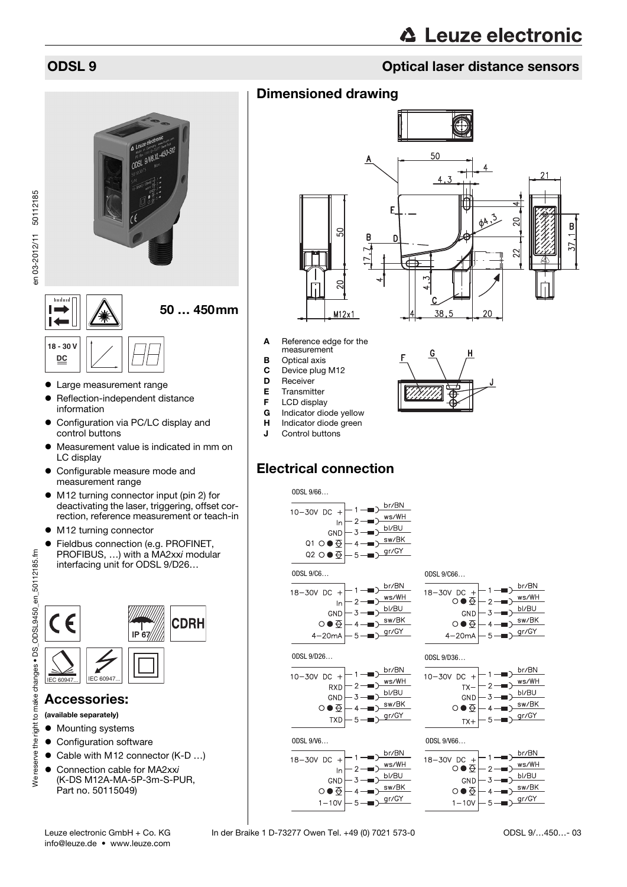# **△ Leuze electronic**

B

 $57$ 

### ODSL 9 Optical laser distance sensors

### Dimensioned drawing



- Cable with M12 connector (K-D ...)
- Connection cable for MA2xxi (K-DS M12A-MA-5P-3m-S-PUR, Part no. 50115049)



- **A** Reference edge for the measurement
- **B** Optical axis
- C Device plug M12
- D Receiver
- 
- 
- Indicator diode yellow
- H Indicator diode green
- **J** Control buttons

## Electrical connection





 $4-20mA$ 



 $-1$ 

 $\overline{2}$ 

 $\overline{A}$ 

 $-5-$ 

 $\overline{1}$ 

GND 3

ㅇ●至

 $1 - 10V$ 

 $\rightarrow$  br/BN

 $\sum_{\text{ws/WH}}$ 

 $\rightarrow$  bl/BU

 $\rightarrow$   $\frac{\text{sw/BK}}{\text{sw/BK}}$ 

 $\frac{g(r)}{g(r)}$ 

 $-5$ 





br/BN

ws/WH





 $18 - 30V$  DC +



18-30V DC +

the i

We reserve

 $\overline{6}$ 



- Large measurement range
- Reflection-independent distance information
- Configuration via PC/LC display and control buttons
- Measurement value is indicated in mm on LC display
- measurement range
- M12 turning connector input (pin 2) for deactivating the laser, triggering, offset correction, reference measurement or teach-in
- M12 turning connector
- PROFIBUS, …) with a MA2xxi modular interfacing unit for ODSL 9/D26…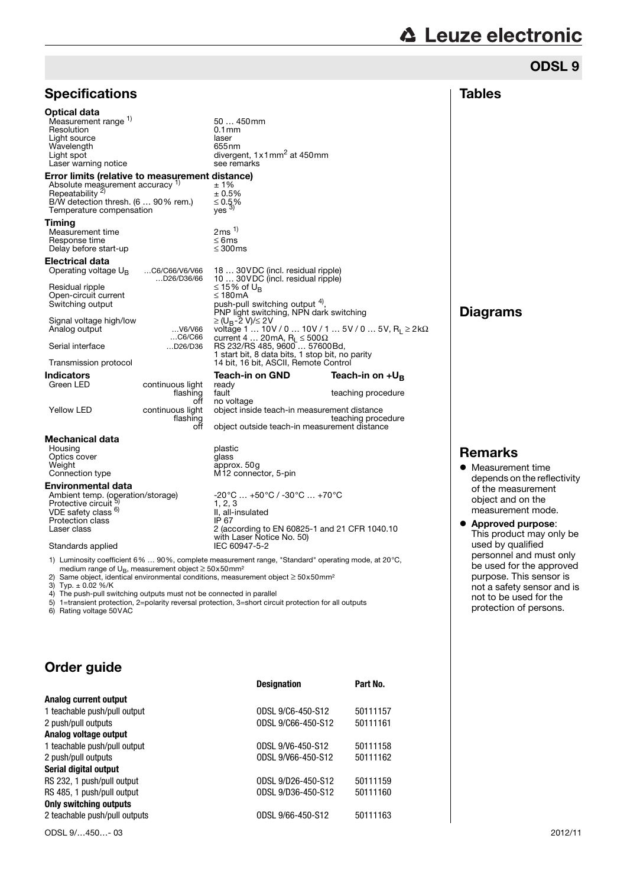|  | <b>△ Leuze electronic</b> |  |
|--|---------------------------|--|
|  |                           |  |

ODSL 9

| <b>Specifications</b>                                                                                                                                                                                                                                                                                                                |                                                                                                                                          |                                                                                                                                                                                                                                                                                                                                                                                                                                                                                                                                                                                                                                                                                                   | <b>Tables</b>                                                                                                                                                                              |
|--------------------------------------------------------------------------------------------------------------------------------------------------------------------------------------------------------------------------------------------------------------------------------------------------------------------------------------|------------------------------------------------------------------------------------------------------------------------------------------|---------------------------------------------------------------------------------------------------------------------------------------------------------------------------------------------------------------------------------------------------------------------------------------------------------------------------------------------------------------------------------------------------------------------------------------------------------------------------------------------------------------------------------------------------------------------------------------------------------------------------------------------------------------------------------------------------|--------------------------------------------------------------------------------------------------------------------------------------------------------------------------------------------|
| Optical data<br>Measurement range 1)<br>Resolution<br>Light source<br>Wavelength<br>Light spot<br>Laser warning notice                                                                                                                                                                                                               |                                                                                                                                          | 50  450mm<br>$0.1$ mm<br>laser<br>655 <sub>nm</sub><br>divergent, 1 x 1 mm <sup>2</sup> at 450 mm<br>see remarks                                                                                                                                                                                                                                                                                                                                                                                                                                                                                                                                                                                  |                                                                                                                                                                                            |
| Error limits (relative to measurement distance)<br>Absolute measurement accuracy 1)<br>Repeatability $\frac{2}{3}$<br>B/W detection thresh. $(690\%$ rem.)<br>Temperature compensation                                                                                                                                               |                                                                                                                                          | ±1%<br>± 0.5%<br>$\leq 0.5\%$<br>yes $3$                                                                                                                                                                                                                                                                                                                                                                                                                                                                                                                                                                                                                                                          |                                                                                                                                                                                            |
| Timing<br>Measurement time<br>Response time<br>Delay before start-up                                                                                                                                                                                                                                                                 |                                                                                                                                          | 2 ms <sup>1</sup><br>$\leq 6$ ms<br>$\leq 300$ ms                                                                                                                                                                                                                                                                                                                                                                                                                                                                                                                                                                                                                                                 |                                                                                                                                                                                            |
| Electrical data<br>Operating voltage $U_{B}$<br>Residual ripple<br>Open-circuit current<br>Switching output<br>Signal voltage high/low<br>Analog output<br>Serial interface<br>Transmission protocol<br>Indicators<br>Green LED<br><b>Yellow LED</b>                                                                                 | C6/C66/V6/V66<br>D26/D36/66<br>V6/V66<br>C6/C66<br>D26/D36<br>continuous light<br>flashing<br>off<br>continuous light<br>flashing<br>off | 18  30 VDC (incl. residual ripple)<br>10  30 VDC (incl. residual ripple)<br>≤ 15% of U <sub>B</sub><br>≤ 180mA<br>push-pull switching output 4),<br>PNP light switching, NPN dark switching<br>≥ (U <sub>B</sub> -2 V)/≤ 2 V<br>voltage 1  10V / 0  10V / 1  5V / 0  5V, R <sub>1</sub> ≥ 2kΩ<br>current 4  20mA, $R_L \le 500 \Omega$<br>RS 232/RS 485, 9600  57600 Bd,<br>1 start bit, 8 data bits, 1 stop bit, no parity<br>14 bit, 16 bit, ASCII, Remote Control<br><b>Teach-in on GND</b><br>Teach-in on $+U_{B}$<br>ready<br>fault<br>teaching procedure<br>no voltage<br>object inside teach-in measurement distance<br>teaching procedure<br>object outside teach-in measurement distance | <b>Diagrams</b>                                                                                                                                                                            |
| Mechanical data<br>Housing<br>Optics cover<br>Weight<br>Connection type<br>Environmental data<br>Ambient temp. (operation/storage)<br>Protective circuit<br>VDE safety class <sup>b)</sup><br><b>Protection class</b><br>Laser class<br>Standards applied<br>medium range of $U_B$ , measurement object $\geq 50x50$ mm <sup>2</sup> |                                                                                                                                          | plastic<br>glass<br>approx. 50g<br>M <sub>12</sub> connector, 5-pin<br>$-20^{\circ}$ C $+50^{\circ}$ C / $-30^{\circ}$ C $+70^{\circ}$ C<br>1, 2, 3<br>II, all-insulated<br>IP 67<br>2 (according to EN 60825-1 and 21 CFR 1040.10<br>with Laser Notice No. 50)<br>IEC 60947-5-2<br>1) Luminosity coefficient 6%  90%, complete measurement range, "Standard" operating mode, at 20°C,<br>2) Same object, identical environmental conditions, measurement object $\geq$ 50x50mm <sup>2</sup>                                                                                                                                                                                                      | <b>Remarks</b><br>• Measureme<br>depends on<br>of the meas<br>object and o<br>measureme<br>$\bullet$ Approved p<br>This produc<br>used by qua<br>personnel a<br>be used for<br>purpose. Th |

4) The push-pull switching outputs must not be connected in parallel

5) 1=transient protection, 2=polarity reversal protection, 3=short circuit protection for all outputs 6) Rating voltage 50VAC

### Order guide

|                               | <b>Designation</b> | Part No. |
|-------------------------------|--------------------|----------|
| Analog current output         |                    |          |
| 1 teachable push/pull output  | ODSL 9/C6-450-S12  | 50111157 |
| 2 push/pull outputs           | ODSL 9/C66-450-S12 | 50111161 |
| Analog voltage output         |                    |          |
| 1 teachable push/pull output  | ODSL 9/V6-450-S12  | 50111158 |
| 2 push/pull outputs           | ODSL 9/V66-450-S12 | 50111162 |
| Serial digital output         |                    |          |
| RS 232, 1 push/pull output    | ODSL 9/D26-450-S12 | 50111159 |
| RS 485, 1 push/pull output    | ODSL 9/D36-450-S12 | 50111160 |
| <b>Only switching outputs</b> |                    |          |
| 2 teachable push/pull outputs | ODSL 9/66-450-S12  | 50111163 |
|                               |                    |          |

ODSL 9/…450…- 03 2012/11

 Measurement time depends on the reflectivity of the measurement object and on the measurement mode. Approved purpose: This product may only be used by qualified personnel and must only be used for the approved purpose. This sensor is not a safety sensor and is not to be used for the protection of persons.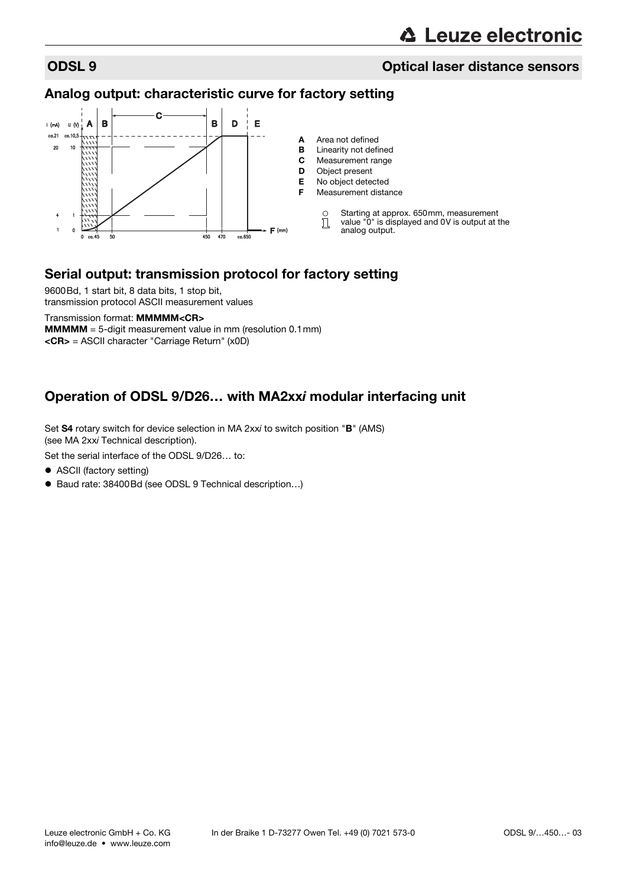### ODSL 9 Optical laser distance sensors

### Analog output: characteristic curve for factory setting



### Serial output: transmission protocol for factory setting

9600Bd, 1 start bit, 8 data bits, 1 stop bit, transmission protocol ASCII measurement values

Transmission format: MMMMM<CR> **MMMMM** = 5-digit measurement value in mm (resolution  $0.1$  mm) <CR> = ASCII character "Carriage Return" (x0D)

### Operation of ODSL 9/D26… with MA2xxi modular interfacing unit

Set S4 rotary switch for device selection in MA 2xxi to switch position "B" (AMS) (see MA 2xxi Technical description).

Set the serial interface of the ODSL 9/D26… to:

- ASCII (factory setting)
- Baud rate: 38400Bd (see ODSL 9 Technical description...)